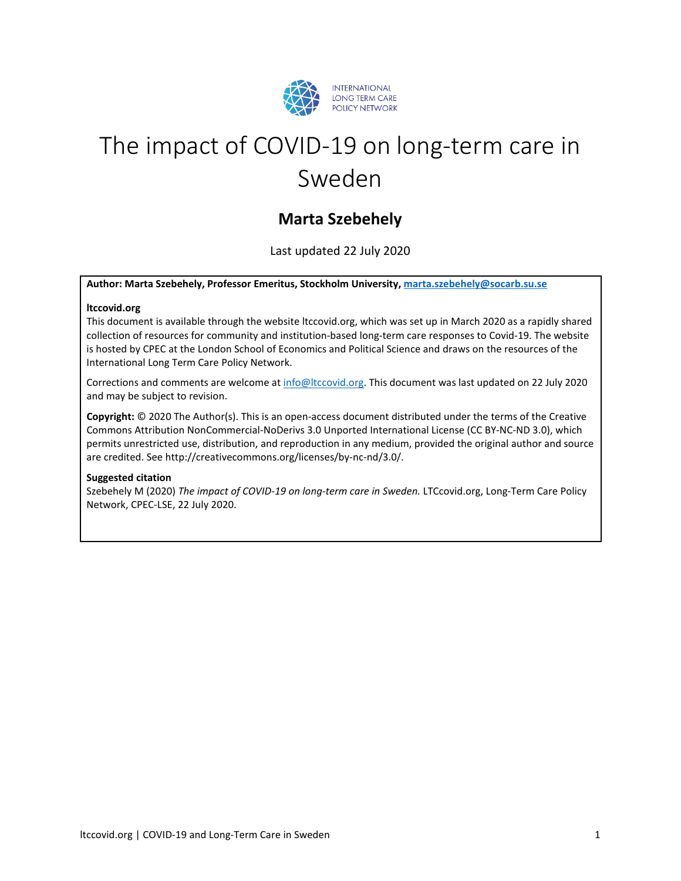

# The impact of COVID-19 on long-term care in Sweden

# **Marta Szebehely**

Last updated 22 July 2020

#### **Author: Marta Szebehely, Professor Emeritus, Stockholm University, [marta.szebehely@socarb.su.se](mailto:marta.szebehely@socarb.su.se)**

#### **ltccovid.org**

This document is available through the website ltccovid.org, which was set up in March 2020 as a rapidly shared collection of resources for community and institution-based long-term care responses to Covid-19. The website is hosted by CPEC at the London School of Economics and Political Science and draws on the resources of the International Long Term Care Policy Network.

Corrections and comments are welcome at [info@ltccovid.org.](mailto:info@ltccovid.org) This document was last updated on 22 July 2020 and may be subject to revision.

**Copyright:** © 2020 The Author(s). This is an open-access document distributed under the terms of the Creative Commons Attribution NonCommercial-NoDerivs 3.0 Unported International License (CC BY-NC-ND 3.0), which permits unrestricted use, distribution, and reproduction in any medium, provided the original author and source are credited. See http://creativecommons.org/licenses/by-nc-nd/3.0/.

#### **Suggested citation**

Szebehely M (2020) *The impact of COVID-19 on long-term care in Sweden.* LTCcovid.org, Long-Term Care Policy Network, CPEC-LSE, 22 July 2020.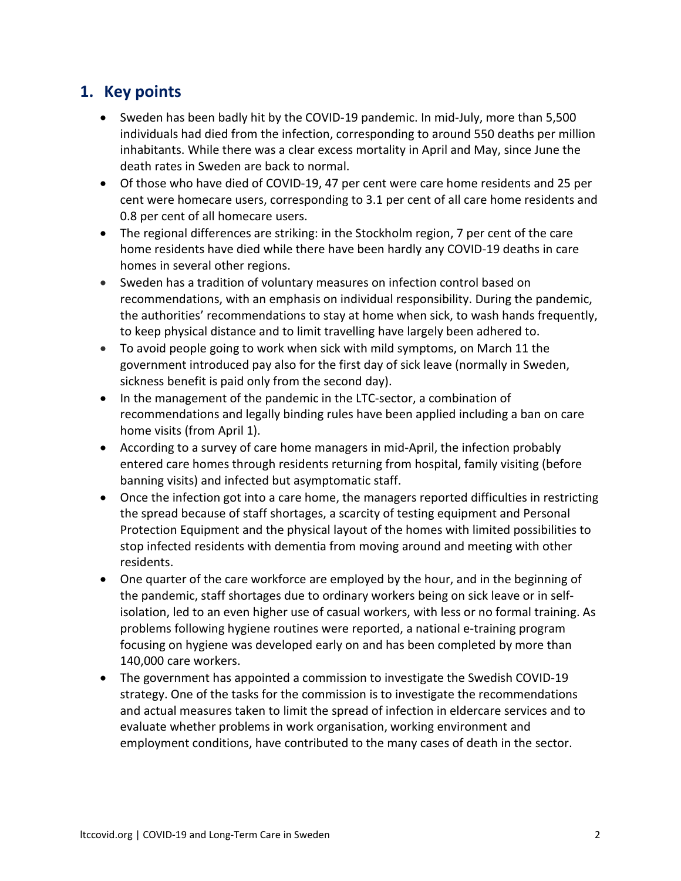# **1. Key points**

- Sweden has been badly hit by the COVID-19 pandemic. In mid-July, more than 5,500 individuals had died from the infection, corresponding to around 550 deaths per million inhabitants. While there was a clear excess mortality in April and May, since June the death rates in Sweden are back to normal.
- Of those who have died of COVID-19, 47 per cent were care home residents and 25 per cent were homecare users, corresponding to 3.1 per cent of all care home residents and 0.8 per cent of all homecare users.
- The regional differences are striking: in the Stockholm region, 7 per cent of the care home residents have died while there have been hardly any COVID-19 deaths in care homes in several other regions.
- Sweden has a tradition of voluntary measures on infection control based on recommendations, with an emphasis on individual responsibility. During the pandemic, the authorities' recommendations to stay at home when sick, to wash hands frequently, to keep physical distance and to limit travelling have largely been adhered to.
- To avoid people going to work when sick with mild symptoms, on March 11 the government introduced pay also for the first day of sick leave (normally in Sweden, sickness benefit is paid only from the second day).
- In the management of the pandemic in the LTC-sector, a combination of recommendations and legally binding rules have been applied including a ban on care home visits (from April 1).
- According to a survey of care home managers in mid-April, the infection probably entered care homes through residents returning from hospital, family visiting (before banning visits) and infected but asymptomatic staff.
- Once the infection got into a care home, the managers reported difficulties in restricting the spread because of staff shortages, a scarcity of testing equipment and Personal Protection Equipment and the physical layout of the homes with limited possibilities to stop infected residents with dementia from moving around and meeting with other residents.
- One quarter of the care workforce are employed by the hour, and in the beginning of the pandemic, staff shortages due to ordinary workers being on sick leave or in selfisolation, led to an even higher use of casual workers, with less or no formal training. As problems following hygiene routines were reported, a national e-training program focusing on hygiene was developed early on and has been completed by more than 140,000 care workers.
- The government has appointed a commission to investigate the Swedish COVID-19 strategy. One of the tasks for the commission is to investigate the recommendations and actual measures taken to limit the spread of infection in eldercare services and to evaluate whether problems in work organisation, working environment and employment conditions, have contributed to the many cases of death in the sector.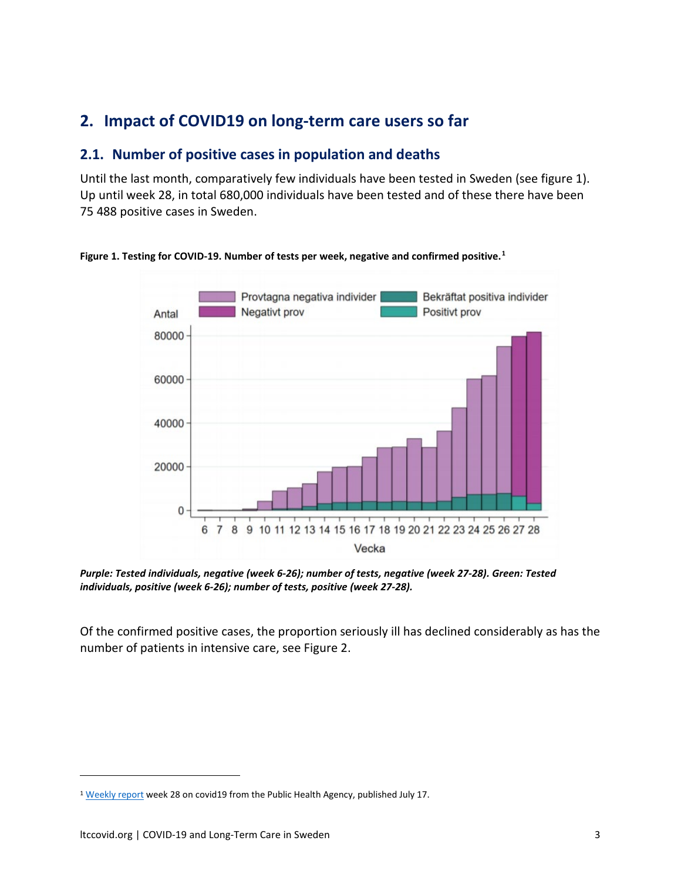# **2. Impact of COVID19 on long-term care users so far**

## **2.1. Number of positive cases in population and deaths**

Until the last month, comparatively few individuals have been tested in Sweden (see figure 1). Up until week 28, in total 680,000 individuals have been tested and of these there have been 75 488 positive cases in Sweden.



#### **Figure 1. Testing for COVID-19. Number of tests per week, negative and confirmed positive.[1](#page-2-0)**

*Purple: Tested individuals, negative (week 6-26); number of tests, negative (week 27-28). Green: Tested individuals, positive (week 6-26); number of tests, positive (week 27-28).*

Of the confirmed positive cases, the proportion seriously ill has declined considerably as has the number of patients in intensive care, see Figure 2.

<span id="page-2-0"></span><sup>&</sup>lt;sup>1</sup> [Weekly report](https://www.folkhalsomyndigheten.se/globalassets/statistik-uppfoljning/smittsamma-sjukdomar/veckorapporter-covid-19/2020/covid-19-veckorapport-vecka-28-final.pdf) week 28 on covid19 from the Public Health Agency, published July 17.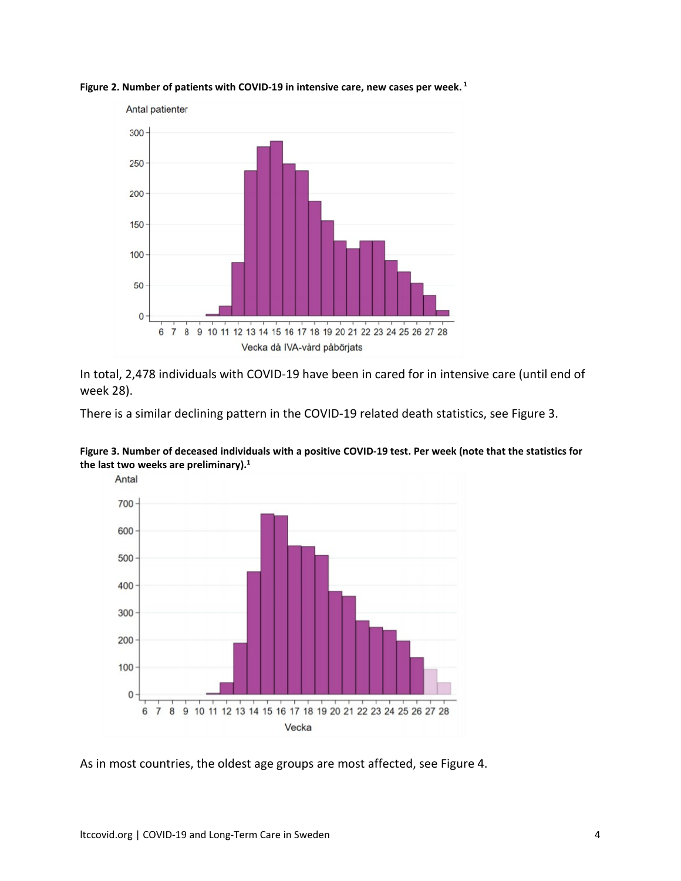

**Figure 2. Number of patients with COVID-19 in intensive care, new cases per week. <sup>1</sup>**

In total, 2,478 individuals with COVID-19 have been in cared for in intensive care (until end of week 28).

There is a similar declining pattern in the COVID-19 related death statistics, see Figure 3.



**Figure 3. Number of deceased individuals with a positive COVID-19 test. Per week (note that the statistics for the last two weeks are preliminary).1**

As in most countries, the oldest age groups are most affected, see Figure 4.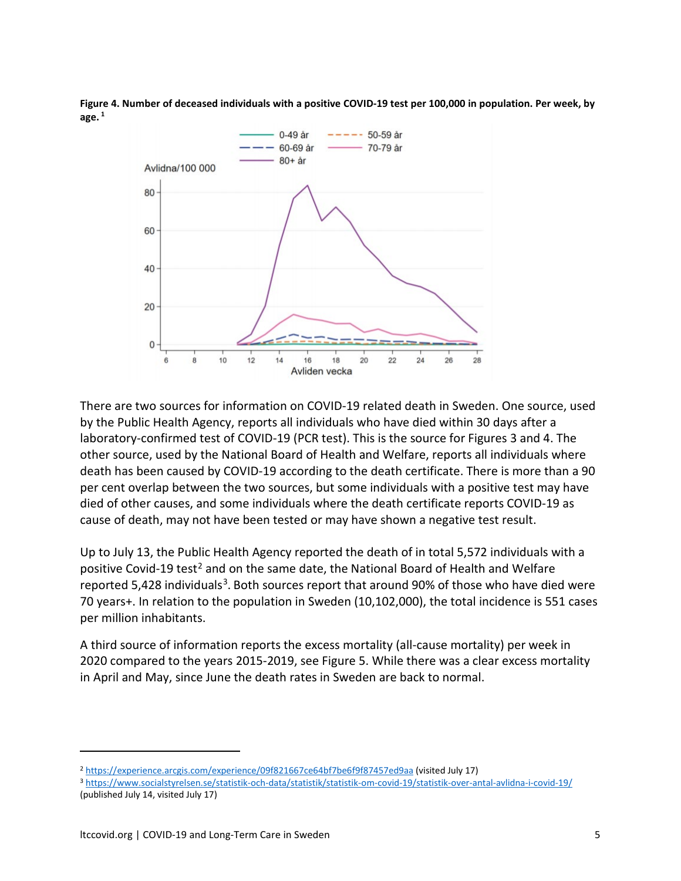**Figure 4. Number of deceased individuals with a positive COVID-19 test per 100,000 in population. Per week, by age. <sup>1</sup>**



There are two sources for information on COVID-19 related death in Sweden. One source, used by the Public Health Agency, reports all individuals who have died within 30 days after a laboratory-confirmed test of COVID-19 (PCR test). This is the source for Figures 3 and 4. The other source, used by the National Board of Health and Welfare, reports all individuals where death has been caused by COVID-19 according to the death certificate. There is more than a 90 per cent overlap between the two sources, but some individuals with a positive test may have died of other causes, and some individuals where the death certificate reports COVID-19 as cause of death, may not have been tested or may have shown a negative test result.

Up to July 13, the Public Health Agency reported the death of in total 5,572 individuals with a positive Covid-19 test<sup>[2](#page-4-0)</sup> and on the same date, the National Board of Health and Welfare reported 5,428 individuals<sup>3</sup>. Both sources report that around 90% of those who have died were 70 years+. In relation to the population in Sweden (10,102,000), the total incidence is 551 cases per million inhabitants.

A third source of information reports the excess mortality (all-cause mortality) per week in 2020 compared to the years 2015-2019, see Figure 5. While there was a clear excess mortality in April and May, since June the death rates in Sweden are back to normal.

<span id="page-4-0"></span><sup>2</sup> <https://experience.arcgis.com/experience/09f821667ce64bf7be6f9f87457ed9aa> (visited July 17)

<span id="page-4-1"></span><sup>3</sup> <https://www.socialstyrelsen.se/statistik-och-data/statistik/statistik-om-covid-19/statistik-over-antal-avlidna-i-covid-19/> (published July 14, visited July 17)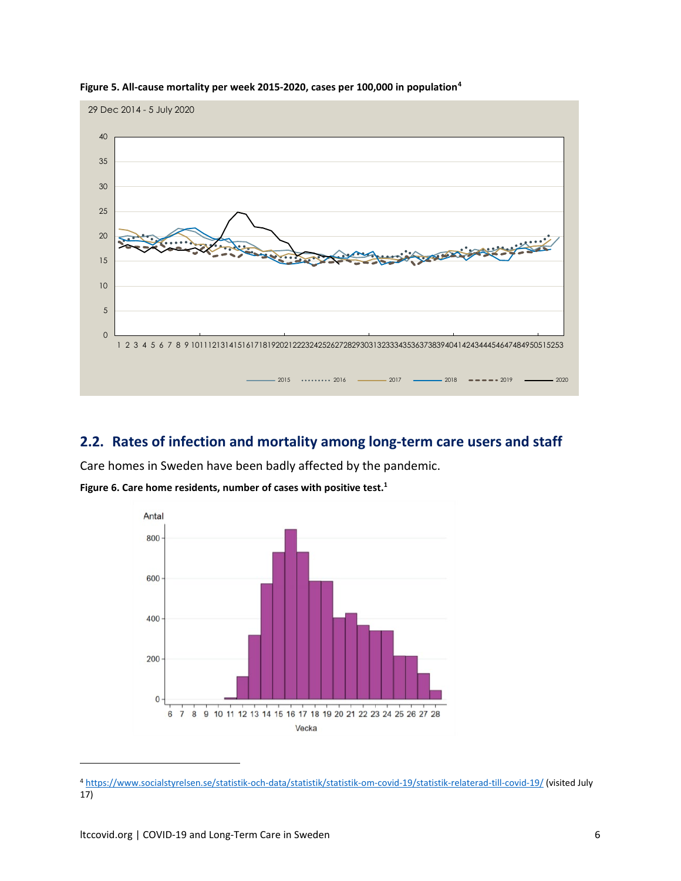

**Figure 5. All-cause mortality per week 2015-2020, cases per 100,000 in population[4](#page-5-0)**

## **2.2. Rates of infection and mortality among long-term care users and staff**

Care homes in Sweden have been badly affected by the pandemic.



**Figure 6. Care home residents, number of cases with positive test.1**

<span id="page-5-0"></span><sup>4</sup> <https://www.socialstyrelsen.se/statistik-och-data/statistik/statistik-om-covid-19/statistik-relaterad-till-covid-19/> (visited July 17)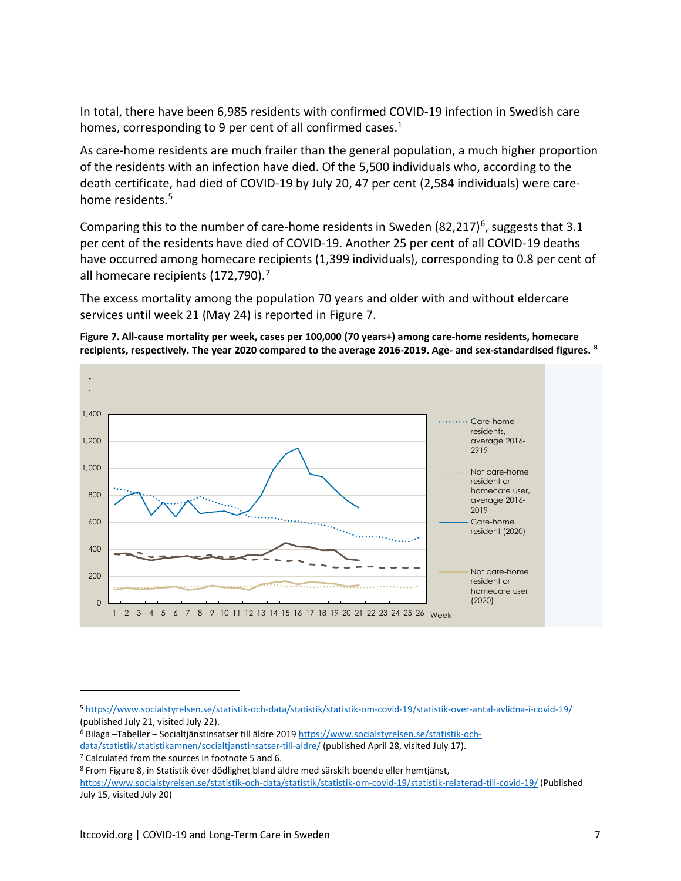In total, there have been 6,985 residents with confirmed COVID-19 infection in Swedish care homes, corresponding to 9 per cent of all confirmed cases.<sup>1</sup>

As care-home residents are much frailer than the general population, a much higher proportion of the residents with an infection have died. Of the 5,500 individuals who, according to the death certificate, had died of COVID-19 by July 20, 47 per cent (2,584 individuals) were care-home residents.<sup>[5](#page-6-0)</sup>

Comparing this to the number of care-home residents in Sweden  $(82,217)^6$  $(82,217)^6$ , suggests that 3.1 per cent of the residents have died of COVID-19. Another 25 per cent of all COVID-19 deaths have occurred among homecare recipients (1,399 individuals), corresponding to 0.8 per cent of all homecare recipients (1[7](#page-6-2)2,790).<sup>7</sup>

The excess mortality among the population 70 years and older with and without eldercare services until week 21 (May 24) is reported in Figure 7.





<span id="page-6-0"></span><sup>5</sup> <https://www.socialstyrelsen.se/statistik-och-data/statistik/statistik-om-covid-19/statistik-over-antal-avlidna-i-covid-19/> (published July 21, visited July 22).<br><sup>6</sup> Bilaga –Tabeller – Socialtjänstinsatser till äldre 2019 [https://www.socialstyrelsen.se/statistik-och-](https://www.socialstyrelsen.se/statistik-och-data/statistik/statistikamnen/socialtjanstinsatser-till-aldre/)

<span id="page-6-1"></span>[data/statistik/statistikamnen/socialtjanstinsatser-till-aldre/](https://www.socialstyrelsen.se/statistik-och-data/statistik/statistikamnen/socialtjanstinsatser-till-aldre/) (published April 28, visited July 17).

<span id="page-6-2"></span><sup>7</sup> Calculated from the sources in footnote 5 and 6.

<span id="page-6-3"></span><sup>8</sup> From Figure 8, in Statistik över dödlighet bland äldre med särskilt boende eller hemtjänst, <https://www.socialstyrelsen.se/statistik-och-data/statistik/statistik-om-covid-19/statistik-relaterad-till-covid-19/> (Published July 15, visited July 20)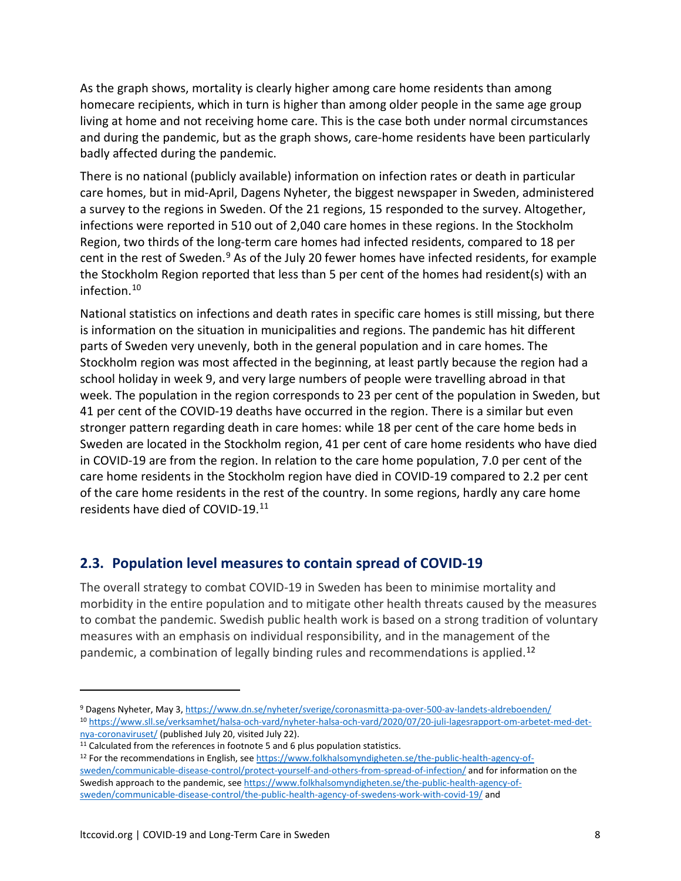As the graph shows, mortality is clearly higher among care home residents than among homecare recipients, which in turn is higher than among older people in the same age group living at home and not receiving home care. This is the case both under normal circumstances and during the pandemic, but as the graph shows, care-home residents have been particularly badly affected during the pandemic.

There is no national (publicly available) information on infection rates or death in particular care homes, but in mid-April, Dagens Nyheter, the biggest newspaper in Sweden, administered a survey to the regions in Sweden. Of the 21 regions, 15 responded to the survey. Altogether, infections were reported in 510 out of 2,040 care homes in these regions. In the Stockholm Region, two thirds of the long-term care homes had infected residents, compared to 18 per cent in the rest of Sweden.<sup>[9](#page-7-0)</sup> As of the July 20 fewer homes have infected residents, for example the Stockholm Region reported that less than 5 per cent of the homes had resident(s) with an infection. [10](#page-7-1)

National statistics on infections and death rates in specific care homes is still missing, but there is information on the situation in municipalities and regions. The pandemic has hit different parts of Sweden very unevenly, both in the general population and in care homes. The Stockholm region was most affected in the beginning, at least partly because the region had a school holiday in week 9, and very large numbers of people were travelling abroad in that week. The population in the region corresponds to 23 per cent of the population in Sweden, but 41 per cent of the COVID-19 deaths have occurred in the region. There is a similar but even stronger pattern regarding death in care homes: while 18 per cent of the care home beds in Sweden are located in the Stockholm region, 41 per cent of care home residents who have died in COVID-19 are from the region. In relation to the care home population, 7.0 per cent of the care home residents in the Stockholm region have died in COVID-19 compared to 2.2 per cent of the care home residents in the rest of the country. In some regions, hardly any care home residents have died of COVID-19[.11](#page-7-2)

## **2.3. Population level measures to contain spread of COVID-19**

The overall strategy to combat COVID-19 in Sweden has been to minimise mortality and morbidity in the entire population and to mitigate other health threats caused by the measures to combat the pandemic. Swedish public health work is based on a strong tradition of voluntary measures with an emphasis on individual responsibility, and in the management of the pandemic, a combination of legally binding rules and recommendations is applied.<sup>[12](#page-7-3)</sup>

<span id="page-7-1"></span><span id="page-7-0"></span><sup>9</sup> Dagens Nyheter, May 3,<https://www.dn.se/nyheter/sverige/coronasmitta-pa-over-500-av-landets-aldreboenden/> <sup>10</sup> [https://www.sll.se/verksamhet/halsa-och-vard/nyheter-halsa-och-vard/2020/07/20-juli-lagesrapport-om-arbetet-med-det-](https://www.sll.se/verksamhet/halsa-och-vard/nyheter-halsa-och-vard/2020/07/20-juli-lagesrapport-om-arbetet-med-det-nya-coronaviruset/)

<span id="page-7-3"></span><span id="page-7-2"></span>

 $\frac{nya\text{-coronaviruset}}{11}$  [\(](https://www.sll.se/verksamhet/halsa-och-vard/nyheter-halsa-och-vard/2020/07/20-juli-lagesrapport-om-arbetet-med-det-nya-coronaviruset/)published July 20, visited July 22).<br><sup>11</sup> Calculated from the references in footnote 5 and 6 plus population statistics.<br><sup>12</sup> For the recommendations in English, see https://www.folkhalsomyndigheten [sweden/communicable-disease-control/protect-yourself-and-others-from-spread-of-infection/](https://www.folkhalsomyndigheten.se/the-public-health-agency-of-sweden/communicable-disease-control/protect-yourself-and-others-from-spread-of-infection/) and for information on the Swedish approach to the pandemic, se[e https://www.folkhalsomyndigheten.se/the-public-health-agency-of](https://www.folkhalsomyndigheten.se/the-public-health-agency-of-sweden/communicable-disease-control/the-public-health-agency-of-swedens-work-with-covid-19/)[sweden/communicable-disease-control/the-public-health-agency-of-swedens-work-with-covid-19/](https://www.folkhalsomyndigheten.se/the-public-health-agency-of-sweden/communicable-disease-control/the-public-health-agency-of-swedens-work-with-covid-19/) and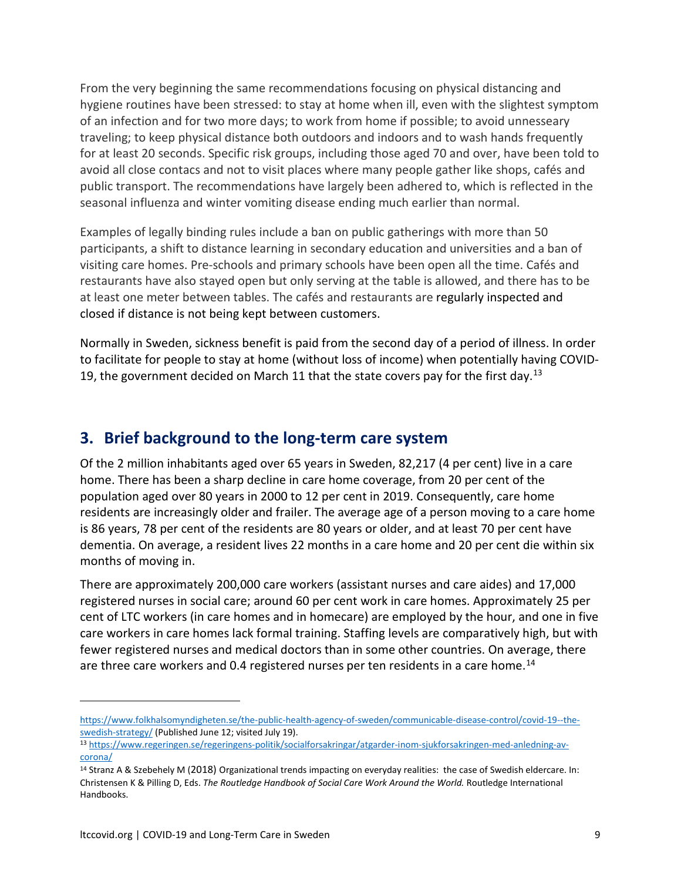From the very beginning the same recommendations focusing on physical distancing and hygiene routines have been stressed: to stay at home when ill, even with the slightest symptom of an infection and for two more days; to work from home if possible; to avoid unnesseary traveling; to keep physical distance both outdoors and indoors and to wash hands frequently for at least 20 seconds. Specific risk groups, including those aged 70 and over, have been told to avoid all close contacs and not to visit places where many people gather like shops, cafés and public transport. The recommendations have largely been adhered to, which is reflected in the seasonal influenza and winter vomiting disease ending much earlier than normal.

Examples of legally binding rules include a ban on public gatherings with more than 50 participants, a shift to distance learning in secondary education and universities and a ban of visiting care homes. Pre-schools and primary schools have been open all the time. Cafés and restaurants have also stayed open but only serving at the table is allowed, and there has to be at least one meter between tables. The cafés and restaurants are regularly inspected and closed if distance is not being kept between customers.

Normally in Sweden, sickness benefit is paid from the second day of a period of illness. In order to facilitate for people to stay at home (without loss of income) when potentially having COVID-19, the government decided on March 11 that the state covers pay for the first day.<sup>[13](#page-8-0)</sup>

# **3. Brief background to the long-term care system**

Of the 2 million inhabitants aged over 65 years in Sweden, 82,217 (4 per cent) live in a care home. There has been a sharp decline in care home coverage, from 20 per cent of the population aged over 80 years in 2000 to 12 per cent in 2019. Consequently, care home residents are increasingly older and frailer. The average age of a person moving to a care home is 86 years, 78 per cent of the residents are 80 years or older, and at least 70 per cent have dementia. On average, a resident lives 22 months in a care home and 20 per cent die within six months of moving in.

There are approximately 200,000 care workers (assistant nurses and care aides) and 17,000 registered nurses in social care; around 60 per cent work in care homes. Approximately 25 per cent of LTC workers (in care homes and in homecare) are employed by the hour, and one in five care workers in care homes lack formal training. Staffing levels are comparatively high, but with fewer registered nurses and medical doctors than in some other countries. On average, there are three care workers and 0.4 registered nurses per ten residents in a care home.<sup>[14](#page-8-1)</sup>

[https://www.folkhalsomyndigheten.se/the-public-health-agency-of-sweden/communicable-disease-control/covid-19--the](https://www.folkhalsomyndigheten.se/the-public-health-agency-of-sweden/communicable-disease-control/covid-19--the-swedish-strategy/)[swedish-strategy/](https://www.folkhalsomyndigheten.se/the-public-health-agency-of-sweden/communicable-disease-control/covid-19--the-swedish-strategy/) (Published June 12; visited July 19).

<span id="page-8-0"></span><sup>13</sup> [https://www.regeringen.se/regeringens-politik/socialforsakringar/atgarder-inom-sjukforsakringen-med-anledning-av](https://www.regeringen.se/regeringens-politik/socialforsakringar/atgarder-inom-sjukforsakringen-med-anledning-av-corona/)[corona/](https://www.regeringen.se/regeringens-politik/socialforsakringar/atgarder-inom-sjukforsakringen-med-anledning-av-corona/)

<span id="page-8-1"></span><sup>&</sup>lt;sup>14</sup> Stranz A & Szebehely M (2018) Organizational trends impacting on everyday realities: the case of Swedish eldercare. In: Christensen K & Pilling D, Eds. *The Routledge Handbook of Social Care Work Around the World.* Routledge International Handbooks.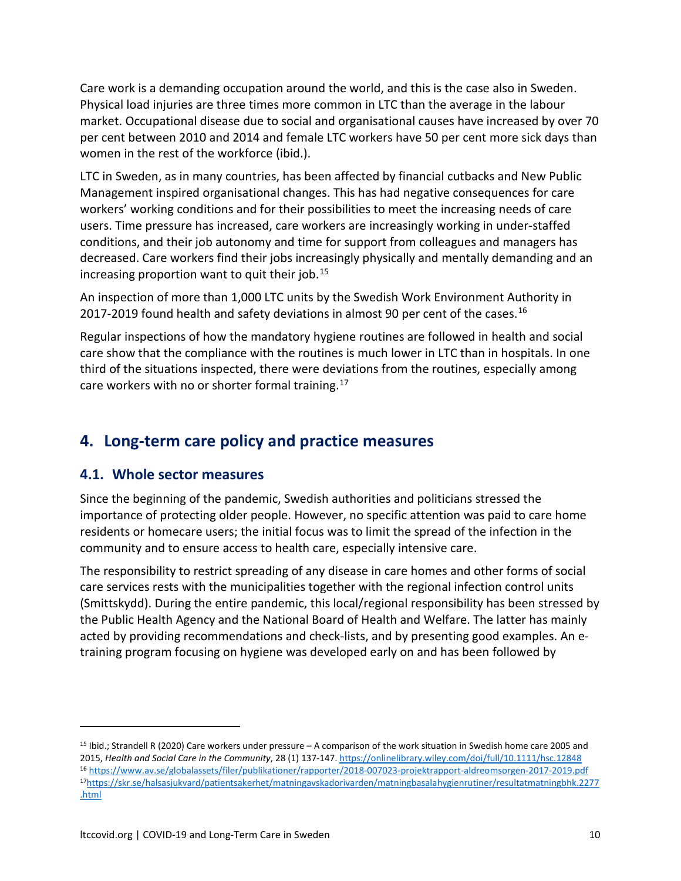Care work is a demanding occupation around the world, and this is the case also in Sweden. Physical load injuries are three times more common in LTC than the average in the labour market. Occupational disease due to social and organisational causes have increased by over 70 per cent between 2010 and 2014 and female LTC workers have 50 per cent more sick days than women in the rest of the workforce (ibid.).

LTC in Sweden, as in many countries, has been affected by financial cutbacks and New Public Management inspired organisational changes. This has had negative consequences for care workers' working conditions and for their possibilities to meet the increasing needs of care users. Time pressure has increased, care workers are increasingly working in under-staffed conditions, and their job autonomy and time for support from colleagues and managers has decreased. Care workers find their jobs increasingly physically and mentally demanding and an increasing proportion want to quit their job.[15](#page-9-0)

An inspection of more than 1,000 LTC units by the Swedish Work Environment Authority in 2017-2019 found health and safety deviations in almost 90 per cent of the cases.<sup>[16](#page-9-1)</sup>

Regular inspections of how the mandatory hygiene routines are followed in health and social care show that the compliance with the routines is much lower in LTC than in hospitals. In one third of the situations inspected, there were deviations from the routines, especially among care workers with no or shorter formal training.<sup>[17](#page-9-2)</sup>

# **4. Long-term care policy and practice measures**

## **4.1. Whole sector measures**

 $\overline{a}$ 

Since the beginning of the pandemic, Swedish authorities and politicians stressed the importance of protecting older people. However, no specific attention was paid to care home residents or homecare users; the initial focus was to limit the spread of the infection in the community and to ensure access to health care, especially intensive care.

The responsibility to restrict spreading of any disease in care homes and other forms of social care services rests with the municipalities together with the regional infection control units (Smittskydd). During the entire pandemic, this local/regional responsibility has been stressed by the Public Health Agency and the National Board of Health and Welfare. The latter has mainly acted by providing recommendations and check-lists, and by presenting good examples. An etraining program focusing on hygiene was developed early on and has been followed by

<span id="page-9-2"></span><span id="page-9-1"></span><span id="page-9-0"></span><sup>15</sup> Ibid.; Strandell R (2020) Care workers under pressure – A comparison of the work situation in Swedish home care 2005 and 2015, *Health and Social Care in the Community*, 28 (1) 137-147[. https://onlinelibrary.wiley.com/doi/full/10.1111/hsc.12848](https://onlinelibrary.wiley.com/doi/full/10.1111/hsc.12848) <sup>16</sup> <https://www.av.se/globalassets/filer/publikationer/rapporter/2018-007023-projektrapport-aldreomsorgen-2017-2019.pdf> 1[7https://skr.se/halsasjukvard/patientsakerhet/matningavskadorivarden/matningbasalahygienrutiner/resultatmatningbhk.2277](https://skr.se/halsasjukvard/patientsakerhet/matningavskadorivarden/matningbasalahygienrutiner/resultatmatningbhk.2277.html) [.html](https://skr.se/halsasjukvard/patientsakerhet/matningavskadorivarden/matningbasalahygienrutiner/resultatmatningbhk.2277.html)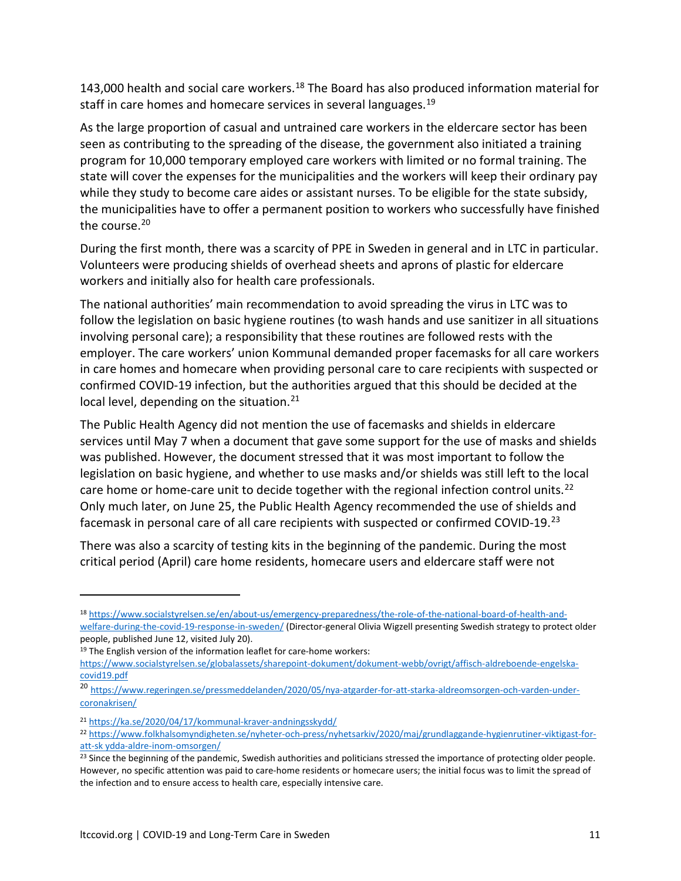143,000 health and social care workers.<sup>[18](#page-10-0)</sup> The Board has also produced information material for staff in care homes and homecare services in several languages.<sup>[19](#page-10-1)</sup>

As the large proportion of casual and untrained care workers in the eldercare sector has been seen as contributing to the spreading of the disease, the government also initiated a training program for 10,000 temporary employed care workers with limited or no formal training. The state will cover the expenses for the municipalities and the workers will keep their ordinary pay while they study to become care aides or assistant nurses. To be eligible for the state subsidy, the municipalities have to offer a permanent position to workers who successfully have finished the course.<sup>[20](#page-10-2)</sup>

During the first month, there was a scarcity of PPE in Sweden in general and in LTC in particular. Volunteers were producing shields of overhead sheets and aprons of plastic for eldercare workers and initially also for health care professionals.

The national authorities' main recommendation to avoid spreading the virus in LTC was to follow the legislation on basic hygiene routines (to wash hands and use sanitizer in all situations involving personal care); a responsibility that these routines are followed rests with the employer. The care workers' union Kommunal demanded proper facemasks for all care workers in care homes and homecare when providing personal care to care recipients with suspected or confirmed COVID-19 infection, but the authorities argued that this should be decided at the local level, depending on the situation. $21$ 

The Public Health Agency did not mention the use of facemasks and shields in eldercare services until May 7 when a document that gave some support for the use of masks and shields was published. However, the document stressed that it was most important to follow the legislation on basic hygiene, and whether to use masks and/or shields was still left to the local care home or home-care unit to decide together with the regional infection control units.<sup>[22](#page-10-4)</sup> Only much later, on June 25, the Public Health Agency recommended the use of shields and facemask in personal care of all care recipients with suspected or confirmed COVID-19.<sup>[23](#page-10-5)</sup>

There was also a scarcity of testing kits in the beginning of the pandemic. During the most critical period (April) care home residents, homecare users and eldercare staff were not

<span id="page-10-0"></span><sup>18</sup> [https://www.socialstyrelsen.se/en/about-us/emergency-preparedness/the-role-of-the-national-board-of-health-and](https://www.socialstyrelsen.se/en/about-us/emergency-preparedness/the-role-of-the-national-board-of-health-and-welfare-during-the-covid-19-response-in-sweden/)[welfare-during-the-covid-19-response-in-sweden/](https://www.socialstyrelsen.se/en/about-us/emergency-preparedness/the-role-of-the-national-board-of-health-and-welfare-during-the-covid-19-response-in-sweden/) (Director-general Olivia Wigzell presenting Swedish strategy to protect older people, published June 12, visited July 20).

<span id="page-10-1"></span> $19$  The English version of the information leaflet for care-home workers:

[https://www.socialstyrelsen.se/globalassets/sharepoint-dokument/dokument-webb/ovrigt/affisch-aldreboende-engelska](https://www.socialstyrelsen.se/globalassets/sharepoint-dokument/dokument-webb/ovrigt/affisch-aldreboende-engelska-covid19.pdf)[covid19.pdf](https://www.socialstyrelsen.se/globalassets/sharepoint-dokument/dokument-webb/ovrigt/affisch-aldreboende-engelska-covid19.pdf)

<span id="page-10-2"></span><sup>20</sup> [https://www.regeringen.se/pressmeddelanden/2020/05/nya-atgarder-for-att-starka-aldreomsorgen-och-varden-under](https://www.regeringen.se/pressmeddelanden/2020/05/nya-atgarder-for-att-starka-aldreomsorgen-och-varden-under-coronakrisen/)[coronakrisen/](https://www.regeringen.se/pressmeddelanden/2020/05/nya-atgarder-for-att-starka-aldreomsorgen-och-varden-under-coronakrisen/)

<span id="page-10-3"></span><sup>21</sup> <https://ka.se/2020/04/17/kommunal-kraver-andningsskydd/>

<span id="page-10-4"></span><sup>22</sup> [https://www.folkhalsomyndigheten.se/nyheter-och-press/nyhetsarkiv/2020/maj/grundlaggande-hygienrutiner-viktigast-for](https://www.folkhalsomyndigheten.se/nyheter-och-press/nyhetsarkiv/2020/maj/grundlaggande-hygienrutiner-viktigast-for-att-sk%20ydda-aldre-inom-omsorgen/)[att-sk ydda-aldre-inom-omsorgen/](https://www.folkhalsomyndigheten.se/nyheter-och-press/nyhetsarkiv/2020/maj/grundlaggande-hygienrutiner-viktigast-for-att-sk%20ydda-aldre-inom-omsorgen/)

<span id="page-10-5"></span><sup>&</sup>lt;sup>23</sup> Since the beginning of the pandemic, Swedish authorities and politicians stressed the importance of protecting older people. However, no specific attention was paid to care-home residents or homecare users; the initial focus was to limit the spread of the infection and to ensure access to health care, especially intensive care.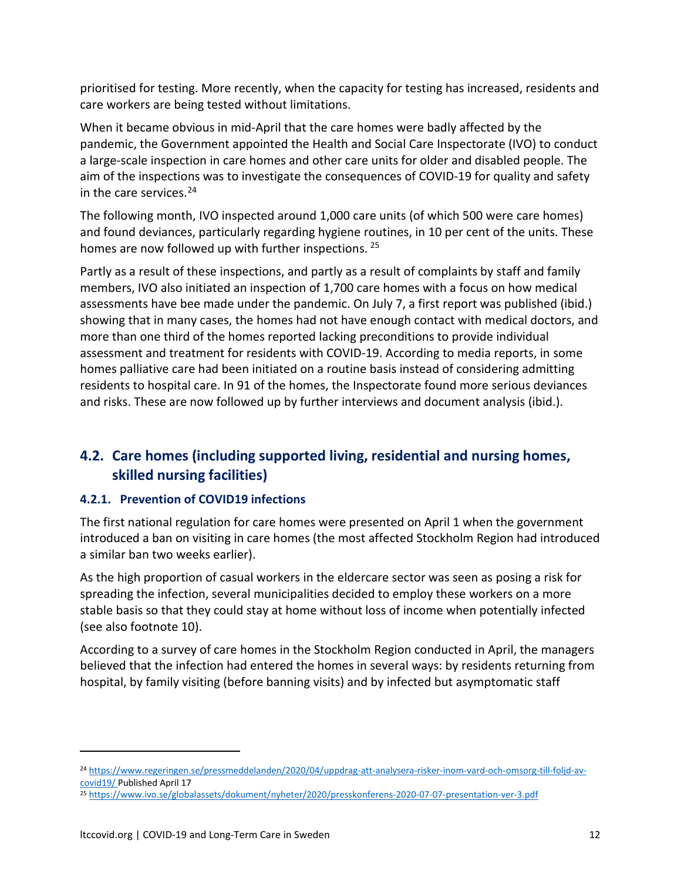prioritised for testing. More recently, when the capacity for testing has increased, residents and care workers are being tested without limitations.

When it became obvious in mid-April that the care homes were badly affected by the pandemic, the Government appointed the Health and Social Care Inspectorate (IVO) to conduct a large-scale inspection in care homes and other care units for older and disabled people. The aim of the inspections was to investigate the consequences of COVID-19 for quality and safety in the care services. $24$ 

The following month, IVO inspected around 1,000 care units (of which 500 were care homes) and found deviances, particularly regarding hygiene routines, in 10 per cent of the units. These homes are now followed up with further inspections. <sup>[25](#page-11-1)</sup>

Partly as a result of these inspections, and partly as a result of complaints by staff and family members, IVO also initiated an inspection of 1,700 care homes with a focus on how medical assessments have bee made under the pandemic. On July 7, a first report was published (ibid.) showing that in many cases, the homes had not have enough contact with medical doctors, and more than one third of the homes reported lacking preconditions to provide individual assessment and treatment for residents with COVID-19. According to media reports, in some homes palliative care had been initiated on a routine basis instead of considering admitting residents to hospital care. In 91 of the homes, the Inspectorate found more serious deviances and risks. These are now followed up by further interviews and document analysis (ibid.).

# **4.2. Care homes (including supported living, residential and nursing homes, skilled nursing facilities)**

#### **4.2.1. Prevention of COVID19 infections**

The first national regulation for care homes were presented on April 1 when the government introduced a ban on visiting in care homes (the most affected Stockholm Region had introduced a similar ban two weeks earlier).

As the high proportion of casual workers in the eldercare sector was seen as posing a risk for spreading the infection, several municipalities decided to employ these workers on a more stable basis so that they could stay at home without loss of income when potentially infected (see also footnote 10).

According to a survey of care homes in the Stockholm Region conducted in April, the managers believed that the infection had entered the homes in several ways: by residents returning from hospital, by family visiting (before banning visits) and by infected but asymptomatic staff

<span id="page-11-0"></span><sup>24</sup> [https://www.regeringen.se/pressmeddelanden/2020/04/uppdrag-att-analysera-risker-inom-vard-och-omsorg-till-foljd-av](https://www.regeringen.se/pressmeddelanden/2020/04/uppdrag-att-analysera-risker-inom-vard-och-omsorg-till-foljd-av-covid19/)[covid19/](https://www.regeringen.se/pressmeddelanden/2020/04/uppdrag-att-analysera-risker-inom-vard-och-omsorg-till-foljd-av-covid19/) Published April 17

<span id="page-11-1"></span><sup>25</sup> <https://www.ivo.se/globalassets/dokument/nyheter/2020/presskonferens-2020-07-07-presentation-ver-3.pdf>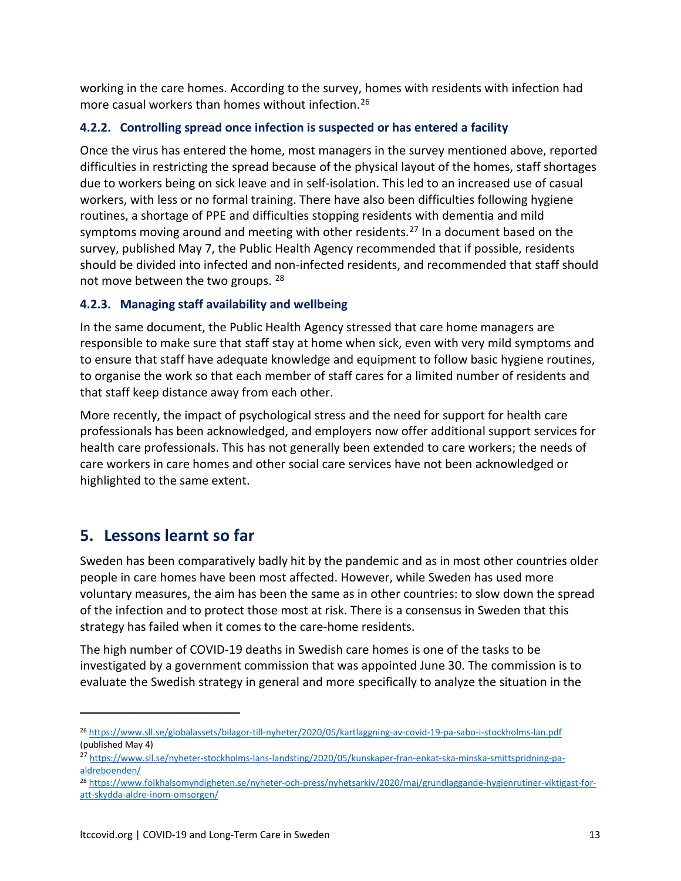working in the care homes. According to the survey, homes with residents with infection had more casual workers than homes without infection.[26](#page-12-0)

#### **4.2.2. Controlling spread once infection is suspected or has entered a facility**

Once the virus has entered the home, most managers in the survey mentioned above, reported difficulties in restricting the spread because of the physical layout of the homes, staff shortages due to workers being on sick leave and in self-isolation. This led to an increased use of casual workers, with less or no formal training. There have also been difficulties following hygiene routines, a shortage of PPE and difficulties stopping residents with dementia and mild symptoms moving around and meeting with other residents.<sup>[27](#page-12-1)</sup> In a document based on the survey, published May 7, the Public Health Agency recommended that if possible, residents should be divided into infected and non-infected residents, and recommended that staff should not move between the two groups. [28](#page-12-2)

#### **4.2.3. Managing staff availability and wellbeing**

In the same document, the Public Health Agency stressed that care home managers are responsible to make sure that staff stay at home when sick, even with very mild symptoms and to ensure that staff have adequate knowledge and equipment to follow basic hygiene routines, to organise the work so that each member of staff cares for a limited number of residents and that staff keep distance away from each other.

More recently, the impact of psychological stress and the need for support for health care professionals has been acknowledged, and employers now offer additional support services for health care professionals. This has not generally been extended to care workers; the needs of care workers in care homes and other social care services have not been acknowledged or highlighted to the same extent.

## **5. Lessons learnt so far**

 $\overline{a}$ 

Sweden has been comparatively badly hit by the pandemic and as in most other countries older people in care homes have been most affected. However, while Sweden has used more voluntary measures, the aim has been the same as in other countries: to slow down the spread of the infection and to protect those most at risk. There is a consensus in Sweden that this strategy has failed when it comes to the care-home residents.

The high number of COVID-19 deaths in Swedish care homes is one of the tasks to be investigated by a government commission that was appointed June 30. The commission is to evaluate the Swedish strategy in general and more specifically to analyze the situation in the

<span id="page-12-0"></span><sup>26</sup> <https://www.sll.se/globalassets/bilagor-till-nyheter/2020/05/kartlaggning-av-covid-19-pa-sabo-i-stockholms-lan.pdf> (published May 4)

<span id="page-12-1"></span><sup>27</sup> [https://www.sll.se/nyheter-stockholms-lans-landsting/2020/05/kunskaper-fran-enkat-ska-minska-smittspridning-pa](https://www.sll.se/nyheter-stockholms-lans-landsting/2020/05/kunskaper-fran-enkat-ska-minska-smittspridning-pa-aldreboenden/)[aldreboenden/](https://www.sll.se/nyheter-stockholms-lans-landsting/2020/05/kunskaper-fran-enkat-ska-minska-smittspridning-pa-aldreboenden/)

<span id="page-12-2"></span><sup>28</sup> [https://www.folkhalsomyndigheten.se/nyheter-och-press/nyhetsarkiv/2020/maj/grundlaggande-hygienrutiner-viktigast-for](https://www.folkhalsomyndigheten.se/nyheter-och-press/nyhetsarkiv/2020/maj/grundlaggande-hygienrutiner-viktigast-for-att-skydda-aldre-inom-omsorgen/)[att-skydda-aldre-inom-omsorgen/](https://www.folkhalsomyndigheten.se/nyheter-och-press/nyhetsarkiv/2020/maj/grundlaggande-hygienrutiner-viktigast-for-att-skydda-aldre-inom-omsorgen/)